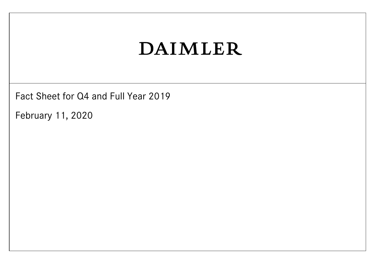Fact Sheet for Q4 and Full Year 2019

February 11, 2020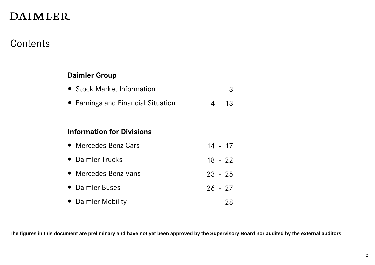### **Contents**

#### **Daimler Group**

- Stock Market Information 3
- Earnings and Financial Situation 4 13

#### **Information for Divisions**

| • Mercedes-Benz Cars | $14 - 17$ |    |
|----------------------|-----------|----|
| • Daimler Trucks     | $18 - 22$ |    |
| • Mercedes-Benz Vans | $23 - 25$ |    |
| • Daimler Buses      | $26 - 27$ |    |
| • Daimler Mobility   |           | 28 |

**The figures in this document are preliminary and have not yet been approved by the Supervisory Board nor audited by the external auditors.**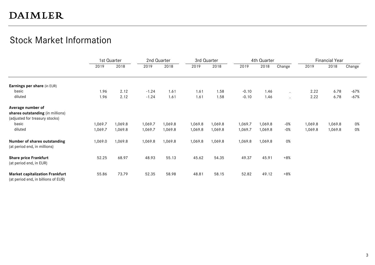### Stock Market Information

|                                                                               |         | 1st Quarter |         | 2nd Quarter |         | 3rd Quarter |         | 4th Quarter |         |         | <b>Financial Year</b> |        |
|-------------------------------------------------------------------------------|---------|-------------|---------|-------------|---------|-------------|---------|-------------|---------|---------|-----------------------|--------|
|                                                                               | 2019    | 2018        | 2019    | 2018        | 2019    | 2018        | 2019    | 2018        | Change  | 2019    | 2018                  | Change |
| Earnings per share (in EUR)                                                   |         |             |         |             |         |             |         |             |         |         |                       |        |
| basic                                                                         | 1.96    | 2.12        | $-1.24$ | 1.61        | 1.61    | 1.58        | $-0.10$ | 1.46        |         | 2.22    | 6.78                  | -67%   |
| diluted                                                                       | 1.96    | 2.12        | $-1.24$ | 1.61        | 1.61    | 1.58        | $-0.10$ | 1.46        | $\cdot$ | 2.22    | 6.78                  | $-67%$ |
| Average number of                                                             |         |             |         |             |         |             |         |             |         |         |                       |        |
| shares outstanding (in millions)                                              |         |             |         |             |         |             |         |             |         |         |                       |        |
| (adjusted for treasury stocks)                                                |         |             |         |             |         |             |         |             |         |         |                       |        |
| basic                                                                         | 1,069.7 | 1,069.8     | 1,069.7 | 1,069.8     | 1,069.8 | 1,069.8     | 1,069.7 | 1,069.8     | $-0%$   | 1,069.8 | 1,069.8               | 0%     |
| diluted                                                                       | 1,069.7 | 1,069.8     | 1,069.7 | 1,069.8     | 1,069.8 | 1,069.8     | 1,069.7 | 1,069.8     | $-0%$   | 1,069.8 | 1,069.8               | 0%     |
| Number of shares outstanding<br>(at period end, in millions)                  | 1,069.0 | 1,069.8     | 1,069.8 | 1,069.8     | 1,069.8 | 1,069.8     | 1,069.8 | 1,069.8     | 0%      |         |                       |        |
| <b>Share price Frankfurt</b><br>(at period end, in EUR)                       | 52.25   | 68.97       | 48.93   | 55.13       | 45.62   | 54.35       | 49.37   | 45.91       | $+8%$   |         |                       |        |
| <b>Market capitalization Frankfurt</b><br>(at period end, in billions of EUR) | 55.86   | 73.79       | 52.35   | 58.98       | 48.81   | 58.15       | 52.82   | 49.12       | $+8%$   |         |                       |        |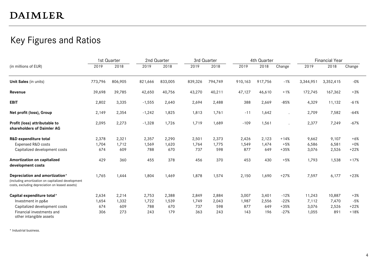### Key Figures and Ratios

|                                                                                                                                         |         | 1st Quarter |          | 2nd Quarter |         | 3rd Quarter |         | 4th Quarter |        |           | <b>Financial Year</b> |        |
|-----------------------------------------------------------------------------------------------------------------------------------------|---------|-------------|----------|-------------|---------|-------------|---------|-------------|--------|-----------|-----------------------|--------|
| (in millions of EUR)                                                                                                                    | 2019    | 2018        | 2019     | 2018        | 2019    | 2018        | 2019    | 2018        | Change | 2019      | 2018                  | Change |
| Unit Sales (in units)                                                                                                                   | 773,796 | 806,905     | 821,666  | 833,005     | 839,326 | 794,749     | 910,163 | 917,756     | $-1%$  | 3,344,951 | 3,352,415             | $-0%$  |
| Revenue                                                                                                                                 | 39,698  | 39,785      | 42,650   | 40,756      | 43,270  | 40,211      | 47,127  | 46,610      | $+1%$  | 172,745   | 167,362               | $+3%$  |
| <b>EBIT</b>                                                                                                                             | 2,802   | 3,335       | $-1,555$ | 2,640       | 2,694   | 2,488       | 388     | 2,669       | $-85%$ | 4,329     | 11,132                | $-61%$ |
| Net profit (loss), Group                                                                                                                | 2,149   | 2,354       | $-1,242$ | 1,825       | 1,813   | 1,761       | $-11$   | 1,642       |        | 2,709     | 7,582                 | $-64%$ |
| Profit (loss) attributable to<br>shareholders of Daimler AG                                                                             | 2,095   | 2,273       | $-1,328$ | 1,726       | 1,719   | 1,689       | $-109$  | 1,561       |        | 2,377     | 7,249                 | $-67%$ |
| R&D expenditure total                                                                                                                   | 2,378   | 2,321       | 2,357    | 2,290       | 2,501   | 2,373       | 2,426   | 2,123       | $+14%$ | 9,662     | 9,107                 | $+6%$  |
| Expensed R&D costs                                                                                                                      | 1,704   | 1,712       | 1,569    | 1,620       | 1,764   | 1,775       | 1,549   | 1,474       | $+5%$  | 6,586     | 6,581                 | $+0\%$ |
| Capitalized development costs                                                                                                           | 674     | 609         | 788      | 670         | 737     | 598         | 877     | 649         | $+35%$ | 3,076     | 2,526                 | $+22%$ |
| Amortization on capitalized<br>development costs                                                                                        | 429     | 360         | 455      | 378         | 456     | 370         | 453     | 430         | $+5%$  | 1,793     | 1,538                 | $+17%$ |
| Depreciation and amortization*<br>(including amortization on capitalized development<br>costs, excluding depreciation on leased assets) | 1,765   | 1,444       | 1,804    | 1,469       | 1,878   | 1,574       | 2,150   | 1,690       | $+27%$ | 7,597     | 6,177                 | $+23%$ |
| Capital expenditure total*                                                                                                              | 2,634   | 2,214       | 2,753    | 2,388       | 2,849   | 2,884       | 3,007   | 3,401       | $-12%$ | 11,243    | 10,887                | $+3%$  |
| Investment in pp&e                                                                                                                      | 1,654   | 1,332       | 1,722    | 1,539       | 1,749   | 2,043       | 1,987   | 2,556       | $-22%$ | 7,112     | 7,470                 | $-5%$  |
| Capitalized development costs                                                                                                           | 674     | 609         | 788      | 670         | 737     | 598         | 877     | 649         | $+35%$ | 3,076     | 2,526                 | $+22%$ |
| Financial investments and<br>other intangible assets                                                                                    | 306     | 273         | 243      | 179         | 363     | 243         | 143     | 196         | $-27%$ | 1,055     | 891                   | $+18%$ |

\* Industrial business.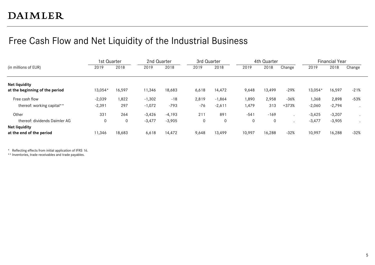### Free Cash Flow and Net Liquidity of the Industrial Business

|                                                        | 1st Quarter |              | 2nd Quarter |          | 3rd Quarter  |             |        | 4th Quarter |         |          | <b>Financial Year</b> |        |
|--------------------------------------------------------|-------------|--------------|-------------|----------|--------------|-------------|--------|-------------|---------|----------|-----------------------|--------|
| (in millions of EUR)                                   | 2019        | 2018         | 2019        | 2018     | 2019         | 2018        | 2019   | 2018        | Change  | 2019     | 2018                  | Change |
| <b>Net liquidity</b><br>at the beginning of the period | 13,054      | 16,597       | 1,346       | 18,683   | 6,618        | 14,472      | 9,648  | 13,499      | -29%    | 13,054*  | 16,597                | $-21%$ |
| Free cash flow                                         | $-2,039$    | 1,822        | $-1,302$    | $-18$    | 2,819        | $-1,864$    | 1,890  | 2,958       | $-36%$  | 1,368    | 2,898                 | $-53%$ |
| thereof: working capital**                             | $-2,391$    | 297          | $-1,072$    | $-793$   | $-76$        | $-2,611$    | 1,479  | 313         | $+373%$ | $-2,060$ | $-2,794$              |        |
| Other                                                  | 331         | 264          | $-3,426$    | $-4,193$ | 211          | 891         | $-541$ | $-169$      |         | $-3,425$ | $-3,207$              |        |
| thereof: dividends Daimler AG                          | 0           | $\mathbf{0}$ | $-3,477$    | $-3,905$ | $\mathbf{0}$ | $\mathbf 0$ | 0      | $\mathbf 0$ |         | $-3,477$ | $-3,905$              |        |
| <b>Net liquidity</b><br>at the end of the period       | 11,346      | 18.683       | 6,618       | 14,472   | 9,648        | 13.499      | 10,997 | 16,288      | $-32%$  | 10,997   | 16,288                | $-32%$ |

\* Reflecting effects from initial application of IFRS 16.

\*\* Inventories, trade receivables and trade payables.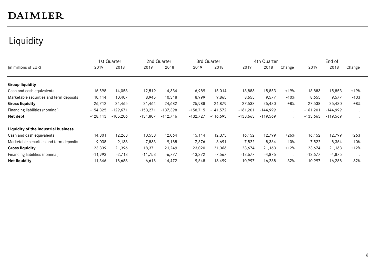## Liquidity

|                                         |            | 1st Quarter |            | 2nd Quarter |            | 3rd Quarter |            | 4th Quarter |         |            | End of     |        |
|-----------------------------------------|------------|-------------|------------|-------------|------------|-------------|------------|-------------|---------|------------|------------|--------|
| (in millions of EUR)                    | 2019       | 2018        | 2019       | 2018        | 2019       | 2018        | 2019       | 2018        | Change  | 2019       | 2018       | Change |
|                                         |            |             |            |             |            |             |            |             |         |            |            |        |
| <b>Group liquidity</b>                  |            |             |            |             |            |             |            |             |         |            |            |        |
| Cash and cash equivalents               | 16,598     | 14,058      | 12,519     | 14,334      | 16,989     | 15,014      | 18,883     | 15,853      | $+19%$  | 18,883     | 15,853     | $+19%$ |
| Marketable securities and term deposits | 10,114     | 10,407      | 8,945      | 10,348      | 8,999      | 9,865       | 8,655      | 9,577       | $-10%$  | 8,655      | 9,577      | $-10%$ |
| <b>Gross liquidity</b>                  | 26,712     | 24,465      | 21,464     | 24,682      | 25,988     | 24,879      | 27,538     | 25,430      | $+8%$   | 27,538     | 25,430     | $+8%$  |
| Financing liabilities (nominal)         | $-154,825$ | $-129.671$  | $-153,271$ | $-137,398$  | $-158,715$ | $-141,572$  | $-161,201$ | $-144,999$  | $\cdot$ | $-161,201$ | -144,999   |        |
| Net debt                                | $-128,113$ | $-105,206$  | $-131,807$ | $-112,716$  | $-132,727$ | $-116,693$  | $-133,663$ | $-119,569$  |         | $-133,663$ | $-119,569$ |        |
| Liquidity of the industrial business    |            |             |            |             |            |             |            |             |         |            |            |        |
| Cash and cash equivalents               | 14,301     | 12,263      | 10,538     | 12,064      | 15,144     | 12,375      | 16,152     | 12,799      | $+26%$  | 16,152     | 12,799     | $+26%$ |
| Marketable securities and term deposits | 9,038      | 9,133       | 7,833      | 9,185       | 7,876      | 8,691       | 7,522      | 8,364       | $-10%$  | 7,522      | 8,364      | $-10%$ |
| <b>Gross liquidity</b>                  | 23,339     | 21,396      | 18,371     | 21,249      | 23,020     | 21,066      | 23,674     | 21,163      | $+12%$  | 23,674     | 21,163     | $+12%$ |
| Financing liabilities (nominal)         | $-11,993$  | $-2,713$    | $-11,753$  | $-6,777$    | $-13,372$  | $-7,567$    | $-12,677$  | $-4,875$    |         | $-12,677$  | $-4,875$   |        |
| <b>Net liquidity</b>                    | 11,346     | 18,683      | 6,618      | 14,472      | 9,648      | 13,499      | 10,997     | 16,288      | $-32%$  | 10,997     | 16,288     | $-32%$ |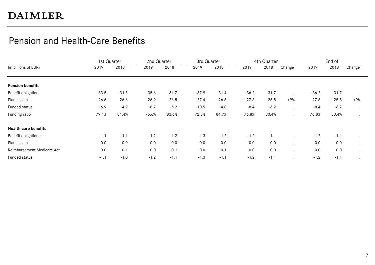### Pension and Health-Care Benefits

|                             | 1st Quarter |         | 2nd Quarter |         | 3rd Quarter |         |         | 4th Quarter |        |         | End of  |         |
|-----------------------------|-------------|---------|-------------|---------|-------------|---------|---------|-------------|--------|---------|---------|---------|
| (in billions of EUR)        | 2019        | 2018    | 2019        | 2018    | 2019        | 2018    | 2019    | 2018        | Change | 2019    | 2018    | Change  |
|                             |             |         |             |         |             |         |         |             |        |         |         |         |
| <b>Pension benefits</b>     |             |         |             |         |             |         |         |             |        |         |         |         |
| Benefit obligations         | $-33.5$     | $-31.5$ | $-35.6$     | $-31.7$ | $-37.9$     | $-31.4$ | $-36.2$ | $-31.7$     |        | $-36.2$ | $-31.7$ | $\cdot$ |
| Plan assets                 | 26.6        | 26.6    | 26.9        | 26.5    | 27.4        | 26.6    | 27.8    | 25.5        | $+9%$  | 27.8    | 25.5    | +9%     |
| Funded status               | $-6.9$      | $-4.9$  | $-8.7$      | $-5.2$  | $-10.5$     | $-4.8$  | $-8.4$  | $-6.2$      |        | $-8.4$  | $-6.2$  |         |
| Funding ratio               | 79.4%       | 84.4%   | 75.6%       | 83.6%   | 72.3%       | 84.7%   | 76.8%   | 80.4%       |        | 76.8%   | 80.4%   |         |
| <b>Health-care benefits</b> |             |         |             |         |             |         |         |             |        |         |         |         |
| Benefit obligations         | $-1.1$      | $-1.1$  | $-1.2$      | $-1.2$  | $-1.3$      | $-1.2$  | $-1.2$  | $-1.1$      |        | $-1.2$  | $-1.1$  |         |
| Plan assets                 | 0.0         | 0.0     | 0.0         | 0.0     | 0.0         | 0.0     | 0.0     | 0.0         |        | 0.0     | 0.0     | $\cdot$ |
| Reimbursement Medicare Act  | 0.0         | 0.1     | 0.0         | 0.1     | 0.0         | 0.1     | 0.0     | 0.0         |        | 0.0     | 0.0     |         |
| Funded status               | $-1.1$      | $-1.0$  | $-1.2$      | $-1.1$  | $-1.3$      | $-1.1$  | $-1.2$  | $-1.1$      |        | $-1.2$  | $-1.1$  |         |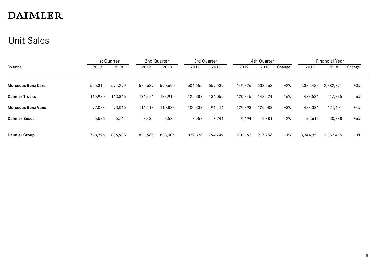### Unit Sales

|                           | 1st Quarter |         |         | 2nd Quarter |         | 3rd Quarter |         | 4th Quarter |        |           | <b>Financial Year</b> |        |
|---------------------------|-------------|---------|---------|-------------|---------|-------------|---------|-------------|--------|-----------|-----------------------|--------|
| (in units)                | 2019        | 2018    | 2019    | 2018        | 2019    | 2018        | 2019    | 2018        | Change | 2019      | 2018                  | Change |
|                           |             |         |         |             |         |             |         |             |        |           |                       |        |
| <b>Mercedes-Benz Cars</b> | 555,312     | 594,299 | 575,639 | 590,690     | 604,655 | 559,539     | 649,826 | 638,263     | $+2%$  | 2,385,432 | 2,382,791             | $+0\%$ |
| <b>Daimler Trucks</b>     | 115,920     | 113,846 | 126,474 | 123,910     | 125,382 | 136,055     | 120,745 | 143,524     | $-16%$ | 488,521   | 517,335               | -6%    |
| <b>Mercedes-Benz Vans</b> | 97,038      | 93,016  | 111,118 | 110,883     | 100,332 | 91,414      | 129,898 | 126,088     | $+3%$  | 438,386   | 421,401               | $+4%$  |
| <b>Daimler Buses</b>      | 5,526       | 5,744   | 8,435   | 7,522       | 8,957   | 7,741       | 9,694   | 9,881       | $-2%$  | 32,612    | 30,888                | $+6%$  |
| <b>Daimler Group</b>      | 773.796     | 806,905 | 821,666 | 833,005     | 839,326 | 794.749     | 910,163 | 917.756     | $-1%$  | 3,344,951 | 3,352,415             | -0%    |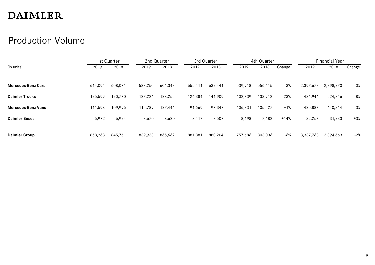### Production Volume

|                           | 1st Quarter |         |         | 2nd Quarter |         | 3rd Quarter |         | 4th Quarter |        |           | <b>Financial Year</b> |        |
|---------------------------|-------------|---------|---------|-------------|---------|-------------|---------|-------------|--------|-----------|-----------------------|--------|
| (in units)                | 2019        | 2018    | 2019    | 2018        | 2019    | 2018        | 2019    | 2018        | Change | 2019      | 2018                  | Change |
|                           |             |         |         |             |         |             |         |             |        |           |                       |        |
| <b>Mercedes-Benz Cars</b> | 614,094     | 608,071 | 588,250 | 601,343     | 655,411 | 632,441     | 539,918 | 556,415     | $-3%$  | 2,397,673 | 2,398,270             | -0%    |
| <b>Daimler Trucks</b>     | 125,599     | 120,770 | 127,224 | 128,255     | 126,384 | 141,909     | 102,739 | 133,912     | $-23%$ | 481,946   | 524,846               | -8%    |
| <b>Mercedes-Benz Vans</b> | 111,598     | 109,996 | 115,789 | 127,444     | 91,669  | 97,347      | 106,831 | 105,527     | $+1%$  | 425,887   | 440,314               | -3%    |
| <b>Daimler Buses</b>      | 6,972       | 6,924   | 8,670   | 8,620       | 8,417   | 8,507       | 8,198   | 7,182       | $+14%$ | 32,257    | 31,233                | $+3%$  |
| <b>Daimler Group</b>      | 858,263     | 845,761 | 839,933 | 865,662     | 881,881 | 880,204     | 757,686 | 803,036     | -6%    | 3,337,763 | 3,394,663             | $-2%$  |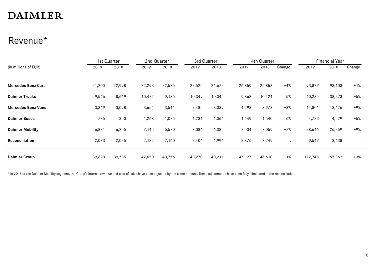### Revenue\*

|                           |          | 1st Quarter | 2nd Quarter |          | 3rd Quarter |          |          | 4th Quarter |                      |          | <b>Financial Year</b> |        |
|---------------------------|----------|-------------|-------------|----------|-------------|----------|----------|-------------|----------------------|----------|-----------------------|--------|
| (in millions of EUR)      | 2019     | 2018        | 2019        | 2018     | 2019        | 2018     | 2019     | 2018        | Change               | 2019     | 2018                  | Change |
|                           |          |             |             |          |             |          |          |             |                      |          |                       |        |
| <b>Mercedes-Benz Cars</b> | 21,200   | 22,998      | 22,293      | 22,575   | 23,525      | 21,672   | 26,859   | 25,858      | $+4%$                | 93,877   | 93,103                | $+1%$  |
| <b>Daimler Trucks</b>     | 9,546    | 8,619       | 10,472      | 9,185    | 10,349      | 10,045   | 9,868    | 10,424      | $-5%$                | 40,235   | 38,273                | $+5%$  |
| <b>Mercedes-Benz Vans</b> | 3,369    | 3,098       | 3,654       | 3,511    | 3,485       | 3,039    | 4,293    | 3,978       | $+8%$                | 14,801   | 13,626                | $+9%$  |
| <b>Daimler Buses</b>      | 785      | 850         | 1,268       | 1,075    | 1,231       | 1,064    | 1,449    | 1,540       | $-6%$                | 4,733    | 4,529                 | $+5%$  |
| <b>Daimler Mobility</b>   | 6,881    | 6,255       | 7,145       | 6,570    | 7,086       | 6,385    | 7,534    | 7,059       | $+7%$                | 28,646   | 26,269                | $+9%$  |
| Reconciliation            | $-2,083$ | $-2,035$    | $-2,182$    | $-2,160$ | $-2,406$    | $-1,994$ | $-2,876$ | $-2,249$    | $\ddot{\phantom{a}}$ | $-9,547$ | $-8,438$              |        |
| <b>Daimler Group</b>      | 39,698   | 39,785      | 42,650      | 40,756   | 43,270      | 40,211   | 47,127   | 46,610      | $+1%$                | 172,745  | 167,362               | $+3%$  |

\* In 2018 at the Daimler Mobility segment, the Group's internal revenue and cost of sales have been adjusted by the same amount. These adjustments have been fully eliminated in the reconciliation.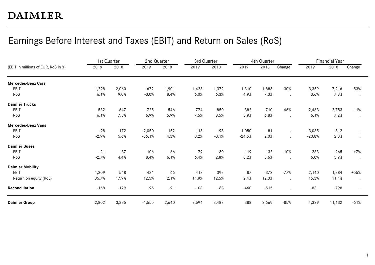### Earnings Before Interest and Taxes (EBIT) and Return on Sales (RoS)

|                                     | 1st Quarter |        | 2nd Quarter |       | 3rd Quarter |         |          | 4th Quarter |                      |          | <b>Financial Year</b> |                      |
|-------------------------------------|-------------|--------|-------------|-------|-------------|---------|----------|-------------|----------------------|----------|-----------------------|----------------------|
| (EBIT in millions of EUR, RoS in %) | 2019        | 2018   | 2019        | 2018  | 2019        | 2018    | 2019     | 2018        | Change               | 2019     | 2018                  | Change               |
| <b>Mercedes-Benz Cars</b>           |             |        |             |       |             |         |          |             |                      |          |                       |                      |
| EBIT                                | 1,298       | 2,060  | $-672$      | 1,901 | 1,423       | 1,372   | 1,310    | 1,883       | $-30%$               | 3,359    | 7,216                 | $-53%$               |
| RoS                                 | 6.1%        | 9.0%   | $-3.0%$     | 8.4%  | 6.0%        | 6.3%    | 4.9%     | 7.3%        | $\ddot{\phantom{a}}$ | 3.6%     | 7.8%                  | $\cdot$              |
| <b>Daimler Trucks</b>               |             |        |             |       |             |         |          |             |                      |          |                       |                      |
| EBIT                                | 582         | 647    | 725         | 546   | 774         | 850     | 382      | 710         | $-46%$               | 2,463    | 2,753                 | $-11%$               |
| RoS                                 | 6.1%        | 7.5%   | 6.9%        | 5.9%  | 7.5%        | 8.5%    | 3.9%     | 6.8%        |                      | 6.1%     | 7.2%                  | $\cdot$              |
| <b>Mercedes-Benz Vans</b>           |             |        |             |       |             |         |          |             |                      |          |                       |                      |
| EBIT                                | $-98$       | 172    | $-2,050$    | 152   | 113         | $-93$   | $-1,050$ | 81          |                      | $-3,085$ | 312                   | $\ddot{\phantom{a}}$ |
| RoS                                 | $-2.9%$     | 5.6%   | $-56.1%$    | 4.3%  | 3.2%        | $-3.1%$ | $-24.5%$ | 2.0%        |                      | $-20.8%$ | 2.3%                  | $\bullet$            |
| <b>Daimler Buses</b>                |             |        |             |       |             |         |          |             |                      |          |                       |                      |
| EBIT                                | $-21$       | 37     | 106         | 66    | 79          | 30      | 119      | 132         | $-10%$               | 283      | 265                   | $+7%$                |
| RoS                                 | $-2.7%$     | 4.4%   | 8.4%        | 6.1%  | 6.4%        | 2.8%    | 8.2%     | 8.6%        | $\ddot{\phantom{a}}$ | 6.0%     | 5.9%                  | $\cdot$              |
| <b>Daimler Mobility</b>             |             |        |             |       |             |         |          |             |                      |          |                       |                      |
| EBIT                                | 1,209       | 548    | 431         | 66    | 413         | 392     | 87       | 378         | $-77%$               | 2,140    | 1,384                 | $+55%$               |
| Return on equity (RoE)              | 35.7%       | 17.9%  | 12.5%       | 2.1%  | 11.9%       | 12.5%   | 2.4%     | 12.0%       |                      | 15.3%    | 11.1%                 | $\bullet$            |
| Reconciliation                      | $-168$      | $-129$ | $-95$       | $-91$ | $-108$      | $-63$   | $-460$   | $-515$      | $\ddot{\phantom{a}}$ | $-831$   | $-798$                | $\cdot$              |
| <b>Daimler Group</b>                | 2,802       | 3,335  | $-1,555$    | 2,640 | 2,694       | 2,488   | 388      | 2,669       | $-85%$               | 4,329    | 11,132                | $-61%$               |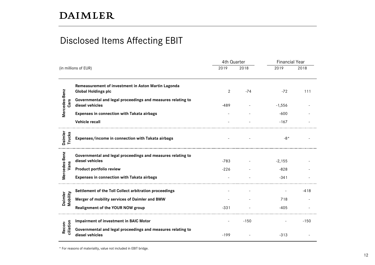### Disclosed Items Affecting EBIT

|                          |                                                                                   | 4th Quarter    |        | <b>Financial Year</b> |        |
|--------------------------|-----------------------------------------------------------------------------------|----------------|--------|-----------------------|--------|
|                          | (in millions of EUR)                                                              | 2019           | 2018   | 2019                  | 2018   |
|                          | Remeasurement of investment in Aston Martin Lagonda<br><b>Global Holdings plc</b> | $\overline{2}$ | -74    | $-72$                 | 111    |
| Mercedes-Benz<br>Cars    | Governmental and legal proceedings and measures relating to<br>diesel vehicles    | $-489$         |        | $-1,556$              |        |
|                          | Expenses in connection with Takata airbags                                        |                |        | -600                  |        |
|                          | Vehicle recall                                                                    |                |        | $-167$                |        |
| <b>Trucks</b><br>Daimler | Expenses/income in connection with Takata airbags                                 |                |        | $-8*$                 |        |
| Mercedes-Benz            | Governmental and legal proceedings and measures relating to<br>diesel vehicles    | $-783$         |        | $-2,155$              |        |
| Vans                     | Product portfolio review                                                          | $-226$         |        | $-828$                |        |
|                          | <b>Expenses in connection with Takata airbags</b>                                 |                |        | $-341$                |        |
|                          | Settlement of the Toll Collect arbitration proceedings                            |                |        |                       | $-418$ |
| Mobility<br>Daimler      | Merger of mobility services of Daimler and BMW                                    |                |        | 718                   |        |
|                          | <b>Realignment of the YOUR NOW group</b>                                          | $-331$         |        | -405                  |        |
|                          | Impairment of investment in BAIC Motor                                            |                | $-150$ |                       | $-150$ |
| ciliation<br>Recon-      | Governmental and legal proceedings and measures relating to<br>diesel vehicles    | $-199$         |        | $-313$                |        |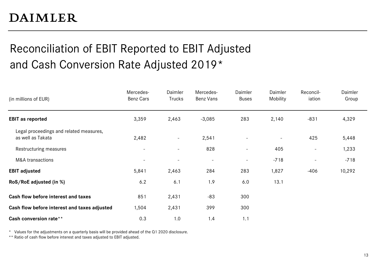## Reconciliation of EBIT Reported to EBIT Adjusted and Cash Conversion Rate Adjusted 2019\*

| (in millions of EUR)                                         | Mercedes-<br>Benz Cars | Daimler<br>Trucks | Mercedes-<br>Benz Vans   | Daimler<br><b>Buses</b> | Daimler<br>Mobility | Reconcil-<br>iation      | Daimler<br>Group |
|--------------------------------------------------------------|------------------------|-------------------|--------------------------|-------------------------|---------------------|--------------------------|------------------|
| <b>EBIT as reported</b>                                      | 3,359                  | 2,463             | $-3,085$                 | 283                     | 2,140               | $-831$                   | 4,329            |
| Legal proceedings and related measures,<br>as well as Takata | 2,482                  | $\blacksquare$    | 2,541                    |                         |                     | 425                      | 5,448            |
| Restructuring measures                                       | $\blacksquare$         |                   | 828                      | ÷                       | 405                 | $\overline{\phantom{a}}$ | 1,233            |
| M&A transactions                                             | $\blacksquare$         |                   | $\overline{\phantom{a}}$ | $\blacksquare$          | $-718$              | $\overline{\phantom{a}}$ | $-718$           |
| <b>EBIT adjusted</b>                                         | 5,841                  | 2,463             | 284                      | 283                     | 1,827               | $-406$                   | 10,292           |
| RoS/RoE adjusted (in %)                                      | 6.2                    | 6.1               | 1.9                      | 6.0                     | 13.1                |                          |                  |
| Cash flow before interest and taxes                          | 851                    | 2,431             | $-83$                    | 300                     |                     |                          |                  |
| Cash flow before interest and taxes adjusted                 | 1,504                  | 2,431             | 399                      | 300                     |                     |                          |                  |
| Cash conversion rate**                                       | 0.3                    | 1.0               | 1.4                      | 1.1                     |                     |                          |                  |

\* Values for the adjustments on a quarterly basis will be provided ahead of the Q1 2020 disclosure.

\*\* Ratio of cash flow before interest and taxes adjusted to EBIT adjusted.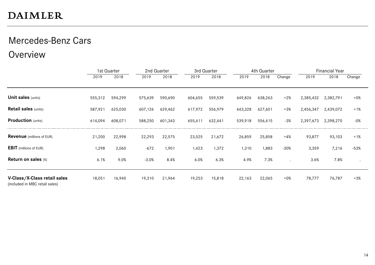## Mercedes-Benz Cars

Overview

|                                                                |         | 1st Quarter |         | 2nd Quarter |         | 3rd Quarter |         | 4th Quarter |        |           | <b>Financial Year</b> |           |
|----------------------------------------------------------------|---------|-------------|---------|-------------|---------|-------------|---------|-------------|--------|-----------|-----------------------|-----------|
|                                                                | 2019    | 2018        | 2019    | 2018        | 2019    | 2018        | 2019    | 2018        | Change | 2019      | 2018                  | Change    |
|                                                                |         |             |         |             |         |             |         |             |        |           |                       |           |
| <b>Unit sales (units)</b>                                      | 555,312 | 594,299     | 575,639 | 590,690     | 604,655 | 559,539     | 649,826 | 638,263     | $+2%$  | 2,385,432 | 2,382,791             | $+0\%$    |
| <b>Retail sales (units)</b>                                    | 587,921 | 625,030     | 607,126 | 629,462     | 617,972 | 556,979     | 643,328 | 627,601     | $+3%$  | 2,456,347 | 2,439,072             | $+1%$     |
| <b>Production</b> (units)                                      | 614,094 | 608,071     | 588,250 | 601,343     | 655,411 | 632,441     | 539,918 | 556,415     | $-3%$  | 2,397,673 | 2,398,270             | $-0\%$    |
| <b>Revenue</b> (millions of EUR)                               | 21,200  | 22,998      | 22,293  | 22,575      | 23,525  | 21,672      | 26,859  | 25,858      | $+4%$  | 93,877    | 93,103                | $+1%$     |
| <b>EBIT</b> (millions of EUR)                                  | 1,298   | 2,060       | $-672$  | 1,901       | 1,423   | 1,372       | 1,310   | 1,883       | $-30%$ | 3,359     | 7,216                 | $-53%$    |
| <b>Return on sales (%)</b>                                     | 6.1%    | 9.0%        | $-3.0%$ | 8.4%        | 6.0%    | 6.3%        | 4.9%    | 7.3%        |        | 3.6%      | 7.8%                  | $\bullet$ |
| V-Class/X-Class retail sales<br>(included in MBC retail sales) | 18,051  | 16,940      | 19,310  | 21,964      | 19,253  | 15,818      | 22,163  | 22,065      | $+0\%$ | 78,777    | 76,787                | $+3%$     |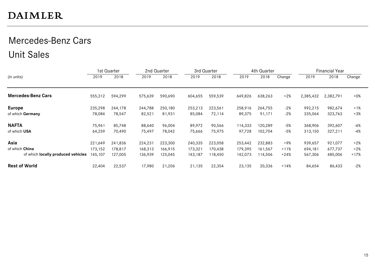## Mercedes-Benz Cars Unit Sales

|                                    |         | 1st Quarter |         | 2nd Quarter |         | 3rd Quarter |         | 4th Quarter |        |           | <b>Financial Year</b> |        |
|------------------------------------|---------|-------------|---------|-------------|---------|-------------|---------|-------------|--------|-----------|-----------------------|--------|
| (in units)                         | 2019    | 2018        | 2019    | 2018        | 2019    | 2018        | 2019    | 2018        | Change | 2019      | 2018                  | Change |
| <b>Mercedes-Benz Cars</b>          | 555,312 | 594,299     | 575,639 | 590,690     | 604,655 | 559,539     | 649,826 | 638,263     | $+2%$  | 2,385,432 | 2,382,791             | $+0\%$ |
| <b>Europe</b>                      | 235,298 | 244,178     | 244,788 | 250,180     | 253,213 | 223,561     | 258,916 | 264,755     | $-2%$  | 992,215   | 982,674               | $+1%$  |
| of which Germany                   | 78,084  | 78,547      | 82,521  | 81,931      | 85,084  | 72,114      | 89,375  | 91,171      | $-2%$  | 335,064   | 323,763               | $+3%$  |
| <b>NAFTA</b>                       | 75,961  | 85,748      | 88,640  | 96,004      | 89,972  | 90,566      | 114,333 | 120,289     | -5%    | 368,906   | 392,607               | $-6%$  |
| of which USA                       | 64,259  | 70,490      | 75,497  | 78,042      | 75,666  | 75,975      | 97,728  | 102,704     | -5%    | 313,150   | 327,211               | $-4%$  |
| Asia                               | 221,649 | 241,836     | 224,231 | 223,300     | 240,335 | 223,058     | 253,442 | 232,883     | +9%    | 939,657   | 921,077               | $+2%$  |
| of which China                     | 173,152 | 178,817     | 168,313 | 166,915     | 173,321 | 170,438     | 179,395 | 161,567     | $+11%$ | 694,181   | 677,737               | $+2%$  |
| of which locally produced vehicles | 145,107 | 127,005     | 136,939 | 125,045     | 143,187 | 18,450      | 142,073 | 114,506     | $+24%$ | 567,306   | 485,006               | $+17%$ |
| <b>Rest of World</b>               | 22,404  | 22,537      | 17,980  | 21,206      | 21,135  | 22,354      | 23,135  | 20,336      | $+14%$ | 84,654    | 86,433                | $-2%$  |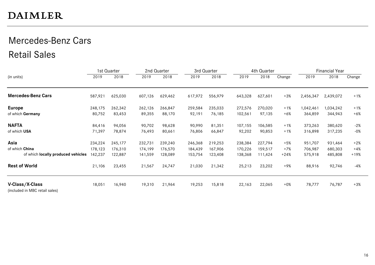## Mercedes-Benz Cars Retail Sales

|                                                   |         | 1st Quarter |         | 2nd Quarter |         | 3rd Quarter |         | 4th Quarter |        |           | <b>Financial Year</b> |        |
|---------------------------------------------------|---------|-------------|---------|-------------|---------|-------------|---------|-------------|--------|-----------|-----------------------|--------|
| (in units)                                        | 2019    | 2018        | 2019    | 2018        | 2019    | 2018        | 2019    | 2018        | Change | 2019      | 2018                  | Change |
| <b>Mercedes-Benz Cars</b>                         | 587,921 | 625,030     | 607,126 | 629,462     | 617,972 | 556,979     | 643,328 | 627,601     | $+3%$  | 2,456,347 | 2,439,072             | $+1%$  |
| <b>Europe</b>                                     | 248,175 | 262,342     | 262,126 | 266,847     | 259,584 | 235,033     | 272,576 | 270,020     | $+1%$  | 1,042,461 | ,034,242              | $+1%$  |
| of which Germany                                  | 80,752  | 83,453      | 89,355  | 88,170      | 92,191  | 76,185      | 102,561 | 97,135      | $+6%$  | 364,859   | 344,943               | $+6%$  |
| <b>NAFTA</b>                                      | 84,416  | 94,056      | 90,702  | 98,628      | 90,990  | 81,351      | 107,155 | 106,585     | $+1%$  | 373,263   | 380,620               | -2%    |
| of which USA                                      | 71,397  | 78,874      | 76,493  | 80,661      | 76,806  | 66,847      | 92,202  | 90,853      | $+1%$  | 316,898   | 317,235               | -0%    |
| Asia                                              | 234,224 | 245,177     | 232,731 | 239,240     | 246,368 | 219,253     | 238,384 | 227,794     | +5%    | 951,707   | 931,464               | $+2%$  |
| of which China                                    | 178,123 | 176,310     | 174,199 | 176,570     | 184,439 | 167,906     | 170,226 | 159,517     | +7%    | 706,987   | 680,303               | +4%    |
| of which locally produced vehicles                | 142,237 | 122,887     | 141,559 | 128,089     | 153,754 | 123,408     | 138,368 | 111,424     | $+24%$ | 575,918   | 485,808               | +19%   |
| <b>Rest of World</b>                              | 21,106  | 23,455      | 21,567  | 24,747      | 21,030  | 21,342      | 25,213  | 23,202      | +9%    | 88,916    | 92,746                | -4%    |
| V-Class/X-Class<br>(included in MBC retail sales) | 18,051  | 16,940      | 19,310  | 21,964      | 19,253  | 15,818      | 22,163  | 22,065      | $+0\%$ | 78,777    | 76,787                | $+3%$  |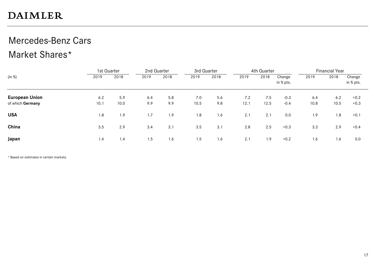## Mercedes-Benz Cars

### Market Shares\*

|                       |      | 1st Quarter | 2nd Quarter |      | 3rd Quarter |      |      | 4th Quarter |                     |      | <b>Financial Year</b> |                     |
|-----------------------|------|-------------|-------------|------|-------------|------|------|-------------|---------------------|------|-----------------------|---------------------|
| (in %)                | 2019 | 2018        | 2019        | 2018 | 2019        | 2018 | 2019 | 2018        | Change<br>in % pts. | 2019 | 2018                  | Change<br>in % pts. |
| <b>European Union</b> | 6.2  | 5.9         | 6.4         | 5.8  | 7.0         | 5.6  | 7.2  | 7.5         | $-0.3$              | 6.4  | 6.2                   | $+0.2$              |
| of which Germany      | 10.1 | 10.0        | 9.9         | 9.9  | 10.5        | 9.8  | 12.1 | 12.5        | $-0.4$              | 10.8 | 10.5                  | $+0.3$              |
| <b>USA</b>            | 1.8  | 1.9         | 1.7         | 1.9  | 1.8         | 1.6  | 2.1  | 2.1         | 0.0                 | 1.9  | 1.8                   | $+0.1$              |
| China                 | 3.5  | 2.9         | 3.4         | 3.1  | 3.5         | 3.1  | 2.8  | 2.5         | $+0.3$              | 3.3  | 2.9                   | $+0.4$              |
| Japan                 | 1.4  | 1.4         | 1.5         | 1.6  | 1.5         | 1.6  | 2.1  | 1.9         | $+0.2$              | 1.6  | 1.6                   | 0.0                 |

\* Based on estimates in certain markets.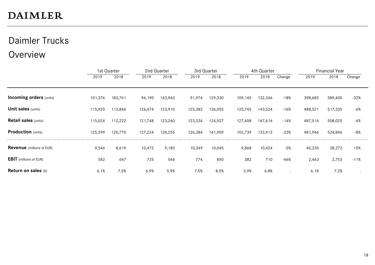## Daimler Trucks

### Overview

|                                  |         | 1st Quarter |         | 2nd Quarter | 3rd Quarter |         |         | 4th Quarter |        |         | <b>Financial Year</b> |        |
|----------------------------------|---------|-------------|---------|-------------|-------------|---------|---------|-------------|--------|---------|-----------------------|--------|
|                                  | 2019    | 2018        | 2019    | 2018        | 2019        | 2018    | 2019    | 2018        | Change | 2019    | 2018                  | Change |
|                                  |         |             |         |             |             |         |         |             |        |         |                       |        |
| <b>Incoming orders (units)</b>   | 101,376 | 183,761     | 96,190  | 143,963     | 91,974      | 129,330 | 109,145 | 132,346     | $-18%$ | 398,685 | 589,400               | $-32%$ |
| <b>Unit sales (units)</b>        | 115,920 | 113,846     | 126,474 | 123,910     | 125,382     | 136,055 | 120,745 | 143,524     | $-16%$ | 488,521 | 517,335               | -6%    |
| <b>Retail sales (units)</b>      | 115,024 | 112,222     | 121,748 | 123,260     | 123,334     | 124,927 | 127,408 | 147,616     | $-14%$ | 487,514 | 508,025               | $-4%$  |
| <b>Production</b> (units)        | 125,599 | 120,770     | 127,224 | 128,255     | 126,384     | 141,909 | 102,739 | 133,912     | $-23%$ | 481,946 | 524,846               | -8%    |
| <b>Revenue</b> (millions of EUR) | 9,546   | 8,619       | 10,472  | 9,185       | 10,349      | 10,045  | 9,868   | 10,424      | $-5%$  | 40,235  | 38,273                | $+5%$  |
| <b>EBIT</b> (millions of EUR)    | 582     | 647         | 725     | 546         | 774         | 850     | 382     | 710         | $-46%$ | 2,463   | 2,753                 | $-11%$ |
| Return on sales (%)              | 6.1%    | 7.5%        | 6.9%    | 5.9%        | 7.5%        | 8.5%    | 3.9%    | 6.8%        |        | 6.1%    | 7.2%                  |        |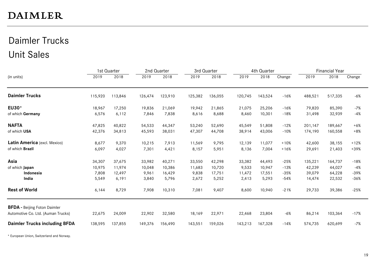## Daimler Trucks Unit Sales

|                                      |         | 1st Quarter |         | 2nd Quarter |         | 3rd Quarter |         | 4th Quarter |        |         | <b>Financial Year</b> |        |
|--------------------------------------|---------|-------------|---------|-------------|---------|-------------|---------|-------------|--------|---------|-----------------------|--------|
| (in units)                           | 2019    | 2018        | 2019    | 2018        | 2019    | 2018        | 2019    | 2018        | Change | 2019    | 2018                  | Change |
| <b>Daimler Trucks</b>                | 115,920 | 113,846     | 126,474 | 123,910     | 125,382 | 136,055     | 120,745 | 143,524     | $-16%$ | 488,521 | 517,335               | $-6%$  |
| EU30*                                | 18,967  | 17,250      | 19,836  | 21,069      | 19,942  | 21,865      | 21,075  | 25,206      | $-16%$ | 79,820  | 85,390                | $-7%$  |
| of which Germany                     | 6,576   | 6,112       | 7,846   | 7,838       | 8,616   | 8,688       | 8,460   | 10,301      | $-18%$ | 31,498  | 32,939                | $-4%$  |
| <b>NAFTA</b>                         | 47,825  | 40,822      | 54,533  | 44,347      | 53,240  | 52,690      | 45,549  | 51,808      | $-12%$ | 201,147 | 189,667               | $+6%$  |
| of which USA                         | 42,376  | 34,813      | 45,593  | 38,031      | 47,307  | 44,708      | 38,914  | 43,006      | $-10%$ | 174,190 | 160,558               | $+8%$  |
| Latin America (excl. Mexico)         | 8,677   | 9,370       | 10,215  | 7,913       | 11,569  | 9,795       | 12,139  | 11,077      | $+10%$ | 42,600  | 38,155                | $+12%$ |
| of which Brazil                      | 6,097   | 4,027       | 7,301   | 4,421       | 8,157   | 5,951       | 8,136   | 7,004       | $+16%$ | 29,691  | 21,403                | +39%   |
| Asia                                 | 34,307  | 37,675      | 33,982  | 40,271      | 33,550  | 42,298      | 33,382  | 44,493      | $-25%$ | 135,221 | 164,737               | $-18%$ |
| of which Japan                       | 10,975  | 11,974      | 10,048  | 10,386      | 11,683  | 10,720      | 9,533   | 10,947      | $-13%$ | 42,239  | 44,027                | -4%    |
| Indonesia                            | 7,808   | 12,497      | 9,961   | 16,429      | 9,838   | 17,751      | 11,472  | 17,551      | $-35%$ | 39,079  | 64,228                | $-39%$ |
| India                                | 5,549   | 6, 191      | 3,840   | 5,796       | 2,672   | 5,252       | 2,413   | 5,293       | $-54%$ | 14,474  | 22,532                | $-36%$ |
| <b>Rest of World</b>                 | 6,144   | 8,729       | 7,908   | 10,310      | 7,081   | 9,407       | 8,600   | 10,940      | $-21%$ | 29,733  | 39,386                | $-25%$ |
| <b>BFDA</b> - Beijing Foton Daimler  |         |             |         |             |         |             |         |             |        |         |                       |        |
| Automotive Co. Ltd. (Auman Trucks)   | 22,675  | 24,009      | 22,902  | 32,580      | 18,169  | 22,971      | 22,468  | 23,804      | $-6%$  | 86,214  | 103,364               | $-17%$ |
| <b>Daimler Trucks including BFDA</b> | 138,595 | 137,855     | 149,376 | 156,490     | 143,551 | 159,026     | 143,213 | 167,328     | $-14%$ | 574,735 | 620,699               | $-7%$  |

\* European Union, Switzerland and Norway.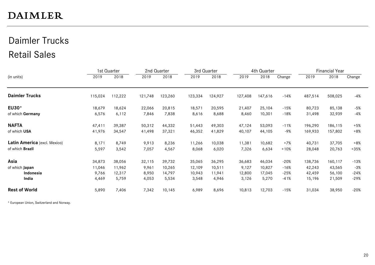## Daimler Trucks Retail Sales

|                              |         | 1st Quarter |         | 2nd Quarter |         | 3rd Quarter |         | 4th Quarter |        |         | <b>Financial Year</b> |        |
|------------------------------|---------|-------------|---------|-------------|---------|-------------|---------|-------------|--------|---------|-----------------------|--------|
| (in units)                   | 2019    | 2018        | 2019    | 2018        | 2019    | 2018        | 2019    | 2018        | Change | 2019    | 2018                  | Change |
| <b>Daimler Trucks</b>        | 115,024 | 112,222     | 121,748 | 123,260     | 123,334 | 124,927     | 127,408 | 147,616     | $-14%$ | 487,514 | 508,025               | $-4%$  |
| EU30*                        | 18,679  | 18,624      | 22,066  | 20,815      | 18,571  | 20,595      | 21,407  | 25,104      | $-15%$ | 80,723  | 85,138                | -5%    |
| of which Germany             | 6,576   | 6,112       | 7,846   | 7,838       | 8,616   | 8,688       | 8,460   | 10,301      | $-18%$ | 31,498  | 32,939                | $-4%$  |
| <b>NAFTA</b>                 | 47,411  | 39,387      | 50,312  | 44,332      | 51,443  | 49,303      | 47,124  | 53,093      | $-11%$ | 196,290 | 186,115               | $+5%$  |
| of which USA                 | 41,976  | 34,547      | 41,498  | 37,321      | 46,352  | 41,829      | 40,107  | 44,105      | -9%    | 169,933 | 157,802               | $+8%$  |
| Latin America (excl. Mexico) | 8,171   | 8,749       | 9,913   | 8,236       | 11,266  | 10,038      | 11,381  | 10,682      | $+7%$  | 40,731  | 37,705                | $+8%$  |
| of which Brazil              | 5,597   | 3,542       | 7,057   | 4,567       | 8,068   | 6,020       | 7,326   | 6,634       | $+10%$ | 28,048  | 20,763                | $+35%$ |
| Asia                         | 34,873  | 38,056      | 32,115  | 39,732      | 35,065  | 36,295      | 36,683  | 46,034      | $-20%$ | 138,736 | 160,117               | $-13%$ |
| of which Japan               | 11,046  | 11,962      | 9,961   | 10,265      | 12,109  | 10,511      | 9,127   | 10,827      | $-16%$ | 42,243  | 43,565                | $-3%$  |
| Indonesia                    | 9,766   | 12,317      | 8,950   | 14,797      | 10,943  | 11,941      | 12,800  | 17,045      | $-25%$ | 42,459  | 56,100                | $-24%$ |
| India                        | 4,469   | 5,759       | 4,053   | 5,534       | 3,548   | 4,946       | 3,126   | 5,270       | $-41%$ | 15,196  | 21,509                | $-29%$ |
| <b>Rest of World</b>         | 5,890   | 7,406       | 7,342   | 10,145      | 6,989   | 8,696       | 10,813  | 12,703      | $-15%$ | 31,034  | 38,950                | $-20%$ |

\* European Union, Switzerland and Norway.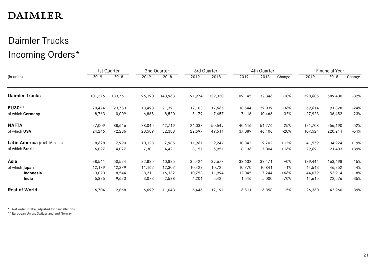## Daimler Trucks Incoming Orders\*

|                              |         | 1st Quarter |        | 2nd Quarter |        | 3rd Quarter |         | 4th Quarter |        |         | Financial Year |        |
|------------------------------|---------|-------------|--------|-------------|--------|-------------|---------|-------------|--------|---------|----------------|--------|
| (in units)                   | 2019    | 2018        | 2019   | 2018        | 2019   | 2018        | 2019    | 2018        | Change | 2019    | 2018           | Change |
| <b>Daimler Trucks</b>        | 101,376 | 183,761     | 96,190 | 143,963     | 91,974 | 129,330     | 109,145 | 132,346     | $-18%$ | 398,685 | 589,400        | -32%   |
| EU30**                       | 20,474  | 23,733      | 18,493 | 21,391      | 12,103 | 17,665      | 18,544  | 29,039      | $-36%$ | 69,614  | 91,828         | -24%   |
| of which Germany             | 8,763   | 10,009      | 6,865  | 8,520       | 5,179  | 7,457       | 7,116   | 10,466      | -32%   | 27,923  | 36,452         | $-23%$ |
| <b>NAFTA</b>                 | 27,009  | 88,646      | 28,045 | 62,719      | 26,038 | 50,549      | 40,616  | 54,276      | $-25%$ | 121,708 | 256,190        | -52%   |
| of which USA                 | 24,246  | 72,236      | 23,589 | 52,388      | 22,597 | 49,511      | 37,089  | 46,106      | $-20%$ | 107,521 | 220,241        | $-51%$ |
| Latin America (excl. Mexico) | 8,628   | 7,990       | 10,128 | 7,985       | 11,961 | 9,247       | 10,842  | 9,702       | $+12%$ | 41,559  | 34,924         | $+19%$ |
| of which Brazil              | 6,097   | 4,027       | 7,301  | 4,421       | 8,157  | 5,951       | 8,136   | 7,004       | $+16%$ | 29,691  | 21,403         | $+39%$ |
| Asia                         | 38,561  | 50,524      | 32,825 | 40,825      | 35,426 | 39,678      | 32,632  | 32,471      | $+0\%$ | 139,444 | 163,498        | -15%   |
| of which Japan               | 12,189  | 12,379      | 11,162 | 12,307      | 10,422 | 10,725      | 10,770  | 10,841      | $-1%$  | 44,543  | 46,252         | -4%    |
| Indonesia                    | 13,070  | 18,544      | 8,211  | 16,132      | 10,753 | 11,994      | 12,045  | 7,244       | $+66%$ | 44,079  | 53,914         | $-18%$ |
| India                        | 5,825   | 9,623       | 3,073  | 2,528       | 4,201  | 5,425       | 1,516   | 5,000       | -70%   | 14,615  | 22,576         | -35%   |
| <b>Rest of World</b>         | 6,704   | 12,868      | 6,699  | 11,043      | 6,446  | 12,191      | 6, 511  | 6,858       | $-5%$  | 26,360  | 42,960         | -39%   |

\* Net order intake, adjusted for cancellations.

\*\* European Union, Switzerland and Norway.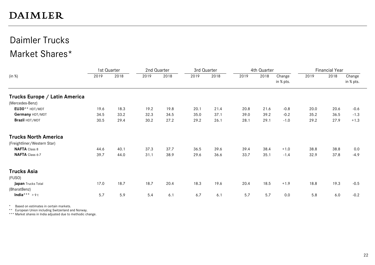### Daimler Trucks Market Shares\*

|                               | 1st Quarter |      | 2nd Quarter |      | 3rd Quarter |      |      | 4th Quarter |                     |      | <b>Financial Year</b> |                     |
|-------------------------------|-------------|------|-------------|------|-------------|------|------|-------------|---------------------|------|-----------------------|---------------------|
| (in %)                        | 2019        | 2018 | 2019        | 2018 | 2019        | 2018 | 2019 | 2018        | Change<br>in % pts. | 2019 | 2018                  | Change<br>in % pts. |
| Trucks Europe / Latin America |             |      |             |      |             |      |      |             |                     |      |                       |                     |
| (Mercedes-Benz)               |             |      |             |      |             |      |      |             |                     |      |                       |                     |
| EU30** HDT/MDT                | 19.6        | 18.3 | 19.2        | 19.8 | 20.1        | 21.4 | 20.8 | 21.6        | $-0.8$              | 20.0 | 20.6                  | $-0.6$              |
| Germany HDT/MDT               | 34.5        | 33.2 | 32.3        | 34.5 | 35.0        | 37.1 | 39.0 | 39.2        | $-0.2$              | 35.2 | 36.5                  | $-1.3$              |
| Brazil HDT/MDT                | 30.5        | 29.4 | 30.2        | 27.2 | 29.2        | 26.1 | 28.1 | 29.1        | $-1.0$              | 29.2 | 27.9                  | $+1.3$              |
| <b>Trucks North America</b>   |             |      |             |      |             |      |      |             |                     |      |                       |                     |
| (Freightliner/Western Star)   |             |      |             |      |             |      |      |             |                     |      |                       |                     |
| <b>NAFTA</b> Class 8          | 44.6        | 40.1 | 37.3        | 37.7 | 36.5        | 39.6 | 39.4 | 38.4        | $+1.0$              | 38.8 | 38.8                  | 0.0                 |
| NAFTA Class 6-7               | 39.7        | 44.0 | 31.1        | 38.9 | 29.6        | 36.6 | 33.7 | 35.1        | $-1.4$              | 32.9 | 37.8                  | $-4.9$              |
| <b>Trucks Asia</b>            |             |      |             |      |             |      |      |             |                     |      |                       |                     |
| (FUSO)                        |             |      |             |      |             |      |      |             |                     |      |                       |                     |
| Japan Trucks Total            | 17.0        | 18.7 | 18.7        | 20.4 | 18.3        | 19.6 | 20.4 | 18.5        | $+1.9$              | 18.8 | 19.3                  | $-0.5$              |
| (BharatBenz)                  |             |      |             |      |             |      |      |             |                     |      |                       |                     |
| India*** >9t                  | 5.7         | 5.9  | 5.4         | 6.1  | 6.7         | 6.1  | 5.7  | 5.7         | $0.0\,$             | 5.8  | $6.0\,$               | $-0.2$              |

\* Based on estimates in certain markets.

\*\* European Union including Switzerland and Norway.

\*\*\* Market shares in India adjusted due to methodic change.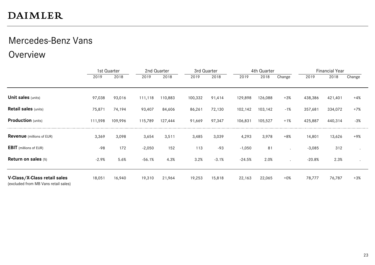## Mercedes-Benz Vans

Overview

|                                                                      |         | 1st Quarter |          | 2nd Quarter | 3rd Quarter |         |          | 4th Quarter |                      |          | <b>Financial Year</b> |           |
|----------------------------------------------------------------------|---------|-------------|----------|-------------|-------------|---------|----------|-------------|----------------------|----------|-----------------------|-----------|
|                                                                      | 2019    | 2018        | 2019     | 2018        | 2019        | 2018    | 2019     | 2018        | Change               | 2019     | 2018                  | Change    |
|                                                                      |         |             |          |             |             |         |          |             |                      |          |                       |           |
| <b>Unit sales (units)</b>                                            | 97,038  | 93,016      | 111,118  | 110,883     | 100,332     | 91,414  | 129,898  | 126,088     | $+3%$                | 438,386  | 421,401               | $+4%$     |
| <b>Retail sales (units)</b>                                          | 75,871  | 74,194      | 93,407   | 84,606      | 86,261      | 72,130  | 102,142  | 103,142     | $-1%$                | 357,681  | 334,072               | $+7%$     |
| <b>Production</b> (units)                                            | 111,598 | 109,996     | 115,789  | 127,444     | 91,669      | 97,347  | 106,831  | 105,527     | $+1%$                | 425,887  | 440,314               | $-3%$     |
| <b>Revenue</b> (millions of EUR)                                     | 3,369   | 3,098       | 3,654    | 3,511       | 3,485       | 3,039   | 4,293    | 3,978       | $+8%$                | 14,801   | 13,626                | +9%       |
| <b>EBIT</b> (millions of EUR)                                        | $-98$   | 172         | $-2,050$ | 152         | 113         | $-93$   | $-1,050$ | 81          |                      | $-3,085$ | 312                   |           |
| <b>Return on sales (%)</b>                                           | $-2.9%$ | 5.6%        | $-56.1%$ | 4.3%        | 3.2%        | $-3.1%$ | $-24.5%$ | 2.0%        | $\ddot{\phantom{0}}$ | $-20.8%$ | 2.3%                  | $\bullet$ |
| V-Class/X-Class retail sales<br>(excluded from MB Vans retail sales) | 18,051  | 16,940      | 19,310   | 21,964      | 19,253      | 15,818  | 22,163   | 22,065      | $+0\%$               | 78,777   | 76,787                | $+3%$     |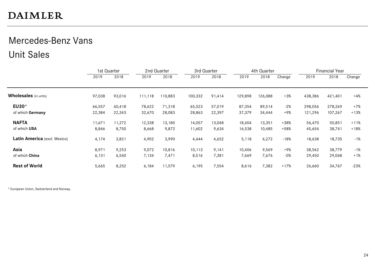### Mercedes-Benz Vans Unit Sales

|                              | 1st Quarter |        |         | 2nd Quarter | 3rd Quarter |        |         | 4th Quarter |        |         | <b>Financial Year</b> |        |
|------------------------------|-------------|--------|---------|-------------|-------------|--------|---------|-------------|--------|---------|-----------------------|--------|
|                              | 2019        | 2018   | 2019    | 2018        | 2019        | 2018   | 2019    | 2018        | Change | 2019    | 2018                  | Change |
| <b>Wholesales</b> (in units) | 97,038      | 93,016 | 111,118 | 110,883     | 100,332     | 91,414 | 129,898 | 126,088     | $+3%$  | 438,386 | 421,401               | $+4%$  |
| EU30*                        | 66,557      | 60,418 | 78,622  | 71,318      | 65,523      | 57,019 | 87,354  | 89,514      | -2%    | 298,056 | 278,269               | +7%    |
| of which Germany             | 22,384      | 22,343 | 32,670  | 28,083      | 28,863      | 22,397 | 37,379  | 34,444      | +9%    | 121,296 | 107,267               | $+13%$ |
| <b>NAFTA</b>                 | 11,671      | 11,272 | 12,338  | 13,180      | 14,057      | 13,048 | 18,404  | 13,351      | $+38%$ | 56,470  | 50,851                | $+11%$ |
| of which USA                 | 8,846       | 8,750  | 8,668   | 9,872       | 11,602      | 9,634  | 16,538  | 10,485      | $+58%$ | 45,654  | 38,741                | $+18%$ |
| Latin America (excl. Mexico) | 4,174       | 3,821  | 4,902   | 3,990       | 4,444       | 4,652  | 5,118   | 6,272       | $-18%$ | 18,638  | 18,735                | $-1%$  |
| Asia                         | 8,971       | 9,253  | 9,072   | 10,816      | 10,113      | 9,141  | 10,406  | 9,569       | +9%    | 38,562  | 38,779                | $-1%$  |
| of which China               | 6,131       | 6,540  | 7,134   | 7,471       | 8,516       | 7,381  | 7,669   | 7,676       | $-0\%$ | 29,450  | 29,068                | $+1%$  |
| <b>Rest of World</b>         | 5,665       | 8,252  | 6,184   | 11,579      | 6,195       | 7,554  | 8,616   | 7,382       | $+17%$ | 26,660  | 34,767                | $-23%$ |

\* European Union, Switzerland and Norway.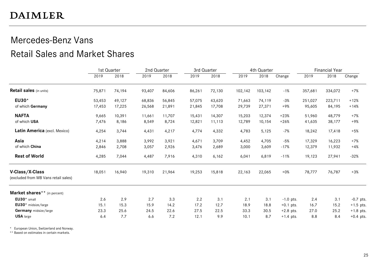### Mercedes-Benz Vans Retail Sales and Market Shares

|                                                         | 1st Quarter |        | 2nd Quarter |        | 3rd Quarter |        |         | 4th Quarter |             |         | <b>Financial Year</b> |             |
|---------------------------------------------------------|-------------|--------|-------------|--------|-------------|--------|---------|-------------|-------------|---------|-----------------------|-------------|
|                                                         | 2019        | 2018   | 2019        | 2018   | 2019        | 2018   | 2019    | 2018        | Change      | 2019    | 2018                  | Change      |
| <b>Retail sales</b> (in units)                          | 75,871      | 74,194 | 93,407      | 84,606 | 86,261      | 72,130 | 102,142 | 103,142     | $-1%$       | 357,681 | 334,072               | +7%         |
| EU30*                                                   | 53,453      | 49,127 | 68,836      | 56,845 | 57,075      | 43,620 | 71,663  | 74,119      | $-3%$       | 251,027 | 223,711               | $+12%$      |
| of which Germany                                        | 17,453      | 17,225 | 26,568      | 21,891 | 21,845      | 17,708 | 29,739  | 27,371      | $+9%$       | 95,605  | 84,195                | $+14%$      |
| <b>NAFTA</b>                                            | 9,665       | 10,391 | 11,661      | 11,707 | 15,431      | 14,307 | 15,203  | 12,374      | $+23%$      | 51,960  | 48,779                | $+7%$       |
| of which USA                                            | 7,476       | 8,186  | 8,549       | 8,724  | 12,821      | 11,113 | 12,789  | 10,154      | $+26%$      | 41,635  | 38,177                | +9%         |
| Latin America (excl. Mexico)                            | 4,254       | 3,744  | 4,431       | 4,217  | 4,774       | 4,332  | 4,783   | 5,125       | $-7%$       | 18,242  | 17,418                | $+5%$       |
| Asia                                                    | 4,214       | 3,888  | 3,992       | 3,921  | 4,671       | 3.709  | 4,452   | 4.705       | $-5%$       | 17,329  | 16,223                | $+7%$       |
| of which China                                          | 2,846       | 2,708  | 3,057       | 2,926  | 3,476       | 2,689  | 3,000   | 3,609       | $-17%$      | 12,379  | 11,932                | $+4%$       |
| <b>Rest of World</b>                                    | 4,285       | 7,044  | 4,487       | 7,916  | 4,310       | 6,162  | 6,041   | 6,819       | $-11%$      | 19,123  | 27,941                | $-32%$      |
| V-Class/X-Class<br>(excluded from MB Vans retail sales) | 18,051      | 16,940 | 19,310      | 21,964 | 19,253      | 15,818 | 22,163  | 22,065      | $+0\%$      | 78,777  | 76,787                | $+3%$       |
| Market shares** (in percent)                            |             |        |             |        |             |        |         |             |             |         |                       |             |
| $EU30*$ small                                           | 2.6         | 2.9    | 2.7         | 3.3    | 2.2         | 3.1    | 2.1     | 3.1         | $-1.0$ pts. | 2.4     | 3.1                   | $-0.7$ pts. |
| EU30* midsize/large                                     | 15.1        | 15.3   | 15.9        | 14.2   | 17.2        | 12.7   | 18.9    | 18.8        | $+0.1$ pts. | 16.7    | 15.2                  | $+1.5$ pts. |
| Germany midsize/large                                   | 23.3        | 25.6   | 24.5        | 22.6   | 27.5        | 22.5   | 33.3    | 30.5        | $+2.8$ pts. | 27.0    | 25.2                  | $+1.8$ pts. |
| <b>USA</b> large                                        | 6.4         | 7.7    | 6.6         | 7.2    | 12.1        | 9.9    | 10.1    | 8.7         | $+1.4$ pts. | 8.8     | 8.4                   | $+0.4$ pts. |

\* European Union, Switzerland and Norway.

\*\* Based on estimates in certain markets.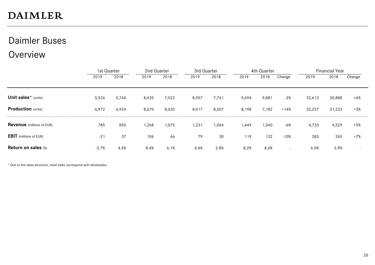### Daimler Buses

### **Overview**

|                                  |         | 1st Quarter |       | 2nd Quarter |       | 3rd Quarter |       | 4th Quarter |        |        | <b>Financial Year</b> |        |  |
|----------------------------------|---------|-------------|-------|-------------|-------|-------------|-------|-------------|--------|--------|-----------------------|--------|--|
|                                  | 2019    | 2018        | 2019  | 2018        | 2019  | 2018        | 2019  | 2018        | Change | 2019   | 2018                  | Change |  |
|                                  |         |             |       |             |       |             |       |             |        |        |                       |        |  |
| Unit sales* (units)              | 5,526   | 5,744       | 8,435 | 7,522       | 8,957 | 7,741       | 9,694 | 9,881       | $-2%$  | 32,612 | 30,888                | $+6%$  |  |
| <b>Production</b> (units)        | 6,972   | 6,924       | 8,670 | 8,620       | 8,417 | 8,507       | 8,198 | 7,182       | $+14%$ | 32,257 | 31,233                | $+3%$  |  |
| <b>Revenue</b> (millions of EUR) | 785     | 850         | 1,268 | 1,075       | 1,231 | 1,064       | 1,449 | 1,540       | $-6%$  | 4,733  | 4,529                 | $+5%$  |  |
| <b>EBIT</b> (millions of EUR)    | $-21$   | 37          | 106   | 66          | 79    | 30          | 119   | 132         | $-10%$ | 283    | 265                   | $+7%$  |  |
| <b>Return on sales (%)</b>       | $-2.7%$ | 4.4%        | 8.4%  | 6.1%        | 6.4%  | 2.8%        | 8.2%  | 8.6%        |        | 6.0%   | 5.9%                  |        |  |

\* Due to the sales structure, retail sales correspond with wholesales.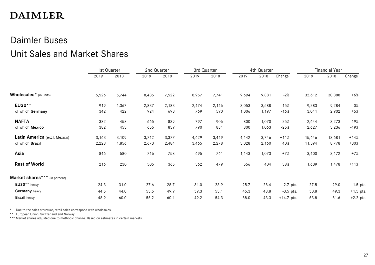### Daimler Buses Unit Sales and Market Shares

|                                    | 1st Quarter |       | 2nd Quarter |       | 3rd Quarter |       | 4th Quarter |       |              | <b>Financial Year</b> |        |             |
|------------------------------------|-------------|-------|-------------|-------|-------------|-------|-------------|-------|--------------|-----------------------|--------|-------------|
|                                    | 2019        | 2018  | 2019        | 2018  | 2019        | 2018  | 2019        | 2018  | Change       | 2019                  | 2018   | Change      |
| Wholesales <sup>*</sup> (in units) | 5,526       | 5,744 | 8,435       | 7,522 | 8,957       | 7,741 | 9,694       | 9,881 | $-2%$        | 32,612                | 30,888 | $+6\%$      |
| EU30**                             | 919         | 1,367 | 2,837       | 2,183 | 2,474       | 2,146 | 3,053       | 3,588 | $-15%$       | 9,283                 | 9,284  | -0%         |
| of which Germany                   | 342         | 422   | 924         | 693   | 769         | 590   | 1,006       | 1,197 | $-16%$       | 3,041                 | 2,902  | $+5%$       |
| <b>NAFTA</b>                       | 382         | 458   | 665         | 839   | 797         | 906   | 800         | 1,070 | $-25%$       | 2,644                 | 3,273  | $-19%$      |
| of which Mexico                    | 382         | 453   | 655         | 839   | 790         | 881   | 800         | 1,063 | $-25%$       | 2,627                 | 3,236  | -19%        |
| Latin America (excl. Mexico)       | 3,163       | 3,109 | 3,712       | 3,377 | 4,629       | 3,449 | 4,142       | 3,746 | $+11%$       | 15,646                | 13,681 | $+14%$      |
| of which Brazil                    | 2,228       | 1,856 | 2,673       | 2,484 | 3,465       | 2,278 | 3,028       | 2,160 | +40%         | 11,394                | 8,778  | $+30%$      |
| Asia                               | 846         | 580   | 716         | 758   | 695         | 761   | 1,143       | 1,073 | $+7%$        | 3,400                 | 3,172  | $+7%$       |
| <b>Rest of World</b>               | 216         | 230   | 505         | 365   | 362         | 479   | 556         | 404   | $+38%$       | 1,639                 | 1,478  | $+11%$      |
| Market shares*** (in percent)      |             |       |             |       |             |       |             |       |              |                       |        |             |
| $EU30**$ heavy                     | 24.3        | 31.0  | 27.6        | 28.7  | 31.0        | 28.9  | 25.7        | 28.4  | $-2.7$ pts.  | 27.5                  | 29.0   | $-1.5$ pts. |
| Germany heavy                      | 44.5        | 44.0  | 53.5        | 49.9  | 59.3        | 53.1  | 45.3        | 48.8  | $-3.5$ pts.  | 50.8                  | 49.3   | $+1.5$ pts. |
| <b>Brazil</b> heavy                | 48.9        | 60.0  | 55.2        | 60.1  | 49.2        | 54.3  | 58.0        | 43.3  | $+14.7$ pts. | 53.8                  | 51.6   | $+2.2$ pts. |

\* Due to the sales structure, retail sales correspond with wholesales.

\*\* European Union, Switzerland and Norway.

\*\*\* Market shares adjusted due to methodic change. Based on estimates in certain markets.